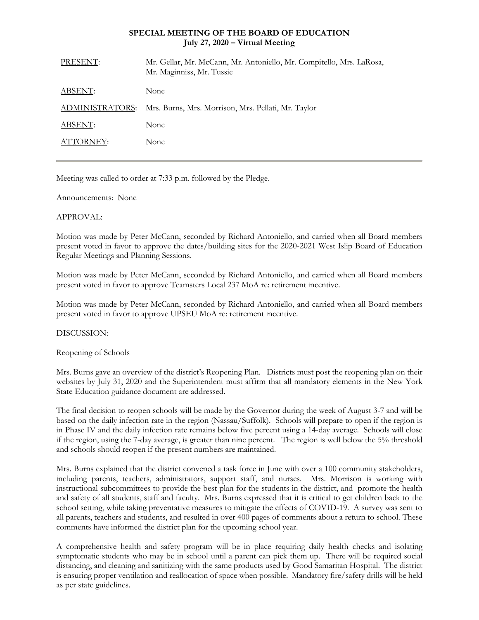## **SPECIAL MEETING OF THE BOARD OF EDUCATION July 27, 2020 – Virtual Meeting**

| PRESENT:        | Mr. Gellar, Mr. McCann, Mr. Antoniello, Mr. Compitello, Mrs. LaRosa,<br>Mr. Maginniss, Mr. Tussie |
|-----------------|---------------------------------------------------------------------------------------------------|
| ABSENT:         | None                                                                                              |
| ADMINISTRATORS: | Mrs. Burns, Mrs. Morrison, Mrs. Pellati, Mr. Taylor                                               |
| ABSENT:         | None                                                                                              |
| ATTORNEY:       | None                                                                                              |
|                 |                                                                                                   |

Meeting was called to order at 7:33 p.m. followed by the Pledge.

Announcements: None

## APPROVAL:

Motion was made by Peter McCann, seconded by Richard Antoniello, and carried when all Board members present voted in favor to approve the dates/building sites for the 2020-2021 West Islip Board of Education Regular Meetings and Planning Sessions.

Motion was made by Peter McCann, seconded by Richard Antoniello, and carried when all Board members present voted in favor to approve Teamsters Local 237 MoA re: retirement incentive.

Motion was made by Peter McCann, seconded by Richard Antoniello, and carried when all Board members present voted in favor to approve UPSEU MoA re: retirement incentive.

## DISCUSSION:

## Reopening of Schools

Mrs. Burns gave an overview of the district's Reopening Plan. Districts must post the reopening plan on their websites by July 31, 2020 and the Superintendent must affirm that all mandatory elements in the New York State Education guidance document are addressed.

The final decision to reopen schools will be made by the Governor during the week of August 3-7 and will be based on the daily infection rate in the region (Nassau/Suffolk). Schools will prepare to open if the region is in Phase IV and the daily infection rate remains below five percent using a 14-day average. Schools will close if the region, using the 7-day average, is greater than nine percent. The region is well below the 5% threshold and schools should reopen if the present numbers are maintained.

Mrs. Burns explained that the district convened a task force in June with over a 100 community stakeholders, including parents, teachers, administrators, support staff, and nurses. Mrs. Morrison is working with instructional subcommittees to provide the best plan for the students in the district, and promote the health and safety of all students, staff and faculty. Mrs. Burns expressed that it is critical to get children back to the school setting, while taking preventative measures to mitigate the effects of COVID-19. A survey was sent to all parents, teachers and students, and resulted in over 400 pages of comments about a return to school. These comments have informed the district plan for the upcoming school year.

A comprehensive health and safety program will be in place requiring daily health checks and isolating symptomatic students who may be in school until a parent can pick them up. There will be required social distancing, and cleaning and sanitizing with the same products used by Good Samaritan Hospital. The district is ensuring proper ventilation and reallocation of space when possible. Mandatory fire/safety drills will be held as per state guidelines.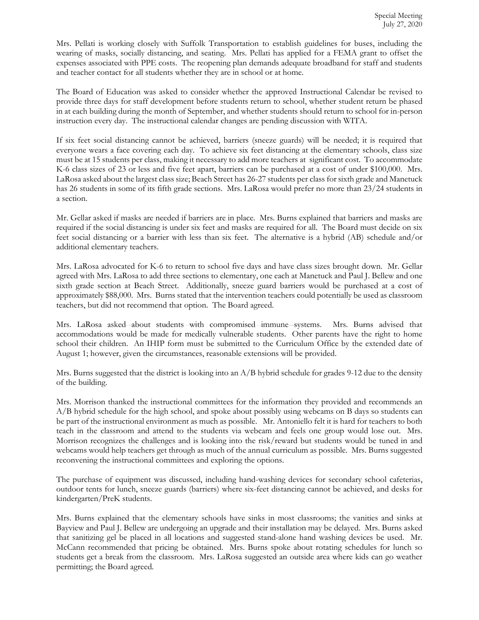Mrs. Pellati is working closely with Suffolk Transportation to establish guidelines for buses, including the wearing of masks, socially distancing, and seating. Mrs. Pellati has applied for a FEMA grant to offset the expenses associated with PPE costs. The reopening plan demands adequate broadband for staff and students and teacher contact for all students whether they are in school or at home.

The Board of Education was asked to consider whether the approved Instructional Calendar be revised to provide three days for staff development before students return to school, whether student return be phased in at each building during the month of September, and whether students should return to school for in-person instruction every day. The instructional calendar changes are pending discussion with WITA.

If six feet social distancing cannot be achieved, barriers (sneeze guards) will be needed; it is required that everyone wears a face covering each day. To achieve six feet distancing at the elementary schools, class size must be at 15 students per class, making it necessary to add more teachers at significant cost. To accommodate K-6 class sizes of 23 or less and five feet apart, barriers can be purchased at a cost of under \$100,000. Mrs. LaRosa asked about the largest class size; Beach Street has 26-27 students per class for sixth grade and Manetuck has 26 students in some of its fifth grade sections. Mrs. LaRosa would prefer no more than 23/24 students in a section.

Mr. Gellar asked if masks are needed if barriers are in place. Mrs. Burns explained that barriers and masks are required if the social distancing is under six feet and masks are required for all. The Board must decide on six feet social distancing or a barrier with less than six feet. The alternative is a hybrid (AB) schedule and/or additional elementary teachers.

Mrs. LaRosa advocated for K-6 to return to school five days and have class sizes brought down. Mr. Gellar agreed with Mrs. LaRosa to add three sections to elementary, one each at Manetuck and Paul J. Bellew and one sixth grade section at Beach Street. Additionally, sneeze guard barriers would be purchased at a cost of approximately \$88,000. Mrs. Burns stated that the intervention teachers could potentially be used as classroom teachers, but did not recommend that option. The Board agreed.

Mrs. LaRosa asked about students with compromised immune systems. Mrs. Burns advised that accommodations would be made for medically vulnerable students. Other parents have the right to home school their children. An IHIP form must be submitted to the Curriculum Office by the extended date of August 1; however, given the circumstances, reasonable extensions will be provided.

Mrs. Burns suggested that the district is looking into an  $A/B$  hybrid schedule for grades 9-12 due to the density of the building.

Mrs. Morrison thanked the instructional committees for the information they provided and recommends an A/B hybrid schedule for the high school, and spoke about possibly using webcams on B days so students can be part of the instructional environment as much as possible. Mr. Antoniello felt it is hard for teachers to both teach in the classroom and attend to the students via webcam and feels one group would lose out. Mrs. Morrison recognizes the challenges and is looking into the risk/reward but students would be tuned in and webcams would help teachers get through as much of the annual curriculum as possible. Mrs. Burns suggested reconvening the instructional committees and exploring the options.

The purchase of equipment was discussed, including hand-washing devices for secondary school cafeterias, outdoor tents for lunch, sneeze guards (barriers) where six-feet distancing cannot be achieved, and desks for kindergarten/PreK students.

Mrs. Burns explained that the elementary schools have sinks in most classrooms; the vanities and sinks at Bayview and Paul J. Bellew are undergoing an upgrade and their installation may be delayed. Mrs. Burns asked that sanitizing gel be placed in all locations and suggested stand-alone hand washing devices be used. Mr. McCann recommended that pricing be obtained. Mrs. Burns spoke about rotating schedules for lunch so students get a break from the classroom. Mrs. LaRosa suggested an outside area where kids can go weather permitting; the Board agreed.